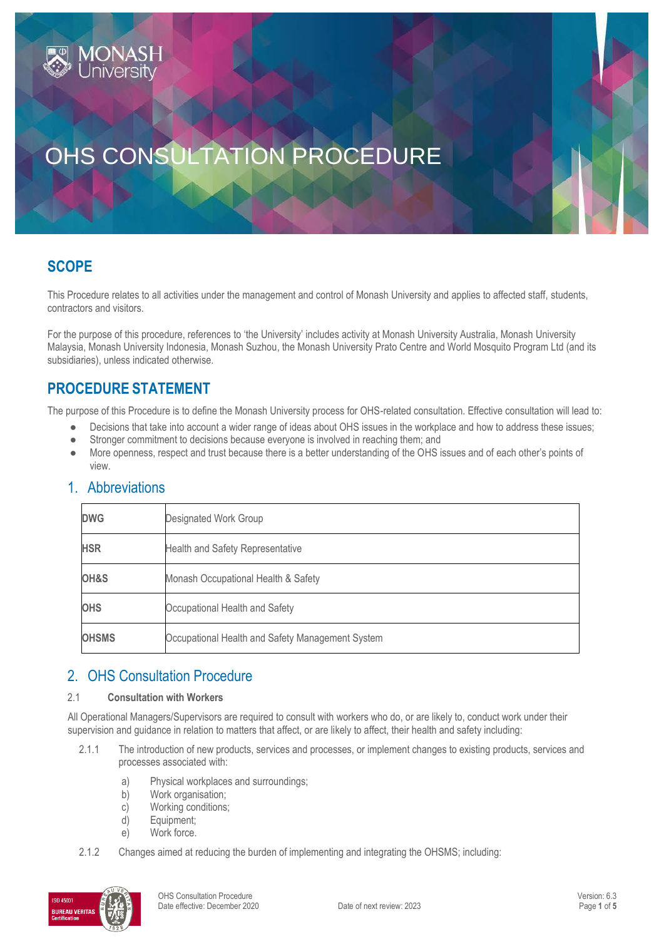# OHS CONSULTATION PROCEDURE

## **SCOPE**

This Procedure relates to all activities under the management and control of Monash University and applies to affected staff, students, contractors and visitors.

For the purpose of this procedure, references to 'the University' includes activity at Monash University Australia, Monash University Malaysia, Monash University Indonesia, Monash Suzhou, the Monash University Prato Centre and World Mosquito Program Ltd (and its subsidiaries), unless indicated otherwise.

## **PROCEDURE STATEMENT**

**JONAS** 

The purpose of this Procedure is to define the Monash University process for OHS-related consultation. Effective consultation will lead to:

- Decisions that take into account a wider range of ideas about OHS issues in the workplace and how to address these issues;
- Stronger commitment to decisions because everyone is involved in reaching them; and
- More openness, respect and trust because there is a better understanding of the OHS issues and of each other's points of view.

| <b>DWG</b>   | Designated Work Group                            |
|--------------|--------------------------------------------------|
| <b>HSR</b>   | Health and Safety Representative                 |
| OH&S         | Monash Occupational Health & Safety              |
| <b>OHS</b>   | Occupational Health and Safety                   |
| <b>OHSMS</b> | Occupational Health and Safety Management System |

## 1. Abbreviations

## 2. OHS Consultation Procedure

#### 2.1 **Consultation with Workers**

All Operational Managers/Supervisors are required to consult with workers who do, or are likely to, conduct work under their supervision and guidance in relation to matters that affect, or are likely to affect, their health and safety including:

- 2.1.1 The introduction of new products, services and processes, or implement changes to existing products, services and processes associated with:
	- a) Physical workplaces and surroundings;
	- b) Work organisation;
	- c) Working conditions;
	- d) Equipment;
	- e) Work force.
- 2.1.2 Changes aimed at reducing the burden of implementing and integrating the OHSMS; including:

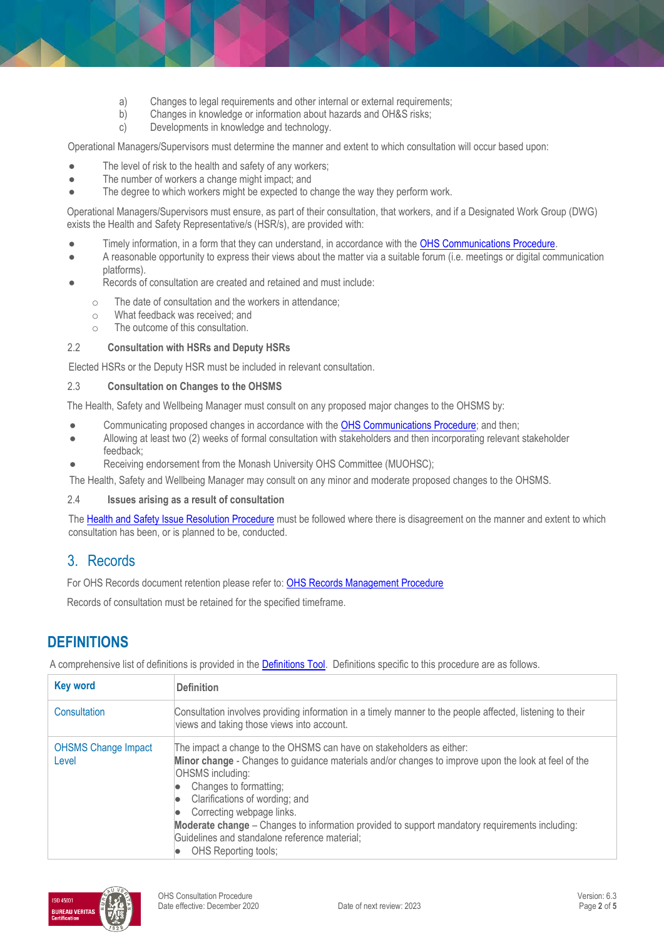- a) Changes to legal requirements and other internal or external requirements;<br>b) Changes in knowledge or information about hazards and OH&S risks:
- b) Changes in knowledge or information about hazards and OH&S risks;
- c) Developments in knowledge and technology.

Operational Managers/Supervisors must determine the manner and extent to which consultation will occur based upon:

- The level of risk to the health and safety of any workers;
- The number of workers a change might impact; and
- The degree to which workers might be expected to change the way they perform work.

Operational Managers/Supervisors must ensure, as part of their consultation, that workers, and if a Designated Work Group (DWG) exists the Health and Safety Representative/s (HSR/s), are provided with:

- Timely information, in a form that they can understand, in accordance with th[e OHS Communications Procedure.](https://publicpolicydms.monash.edu/Monash/documents/1935624)
- A reasonable opportunity to express their views about the matter via a suitable forum (i.e. meetings or digital communication platforms).
- Records of consultation are created and retained and must include:
	- o The date of consultation and the workers in attendance;
	- o What feedback was received; and
	- o The outcome of this consultation.

#### 2.2 **Consultation with HSRs and Deputy HSRs**

Elected HSRs or the Deputy HSR must be included in relevant consultation.

#### 2.3 **Consultation on Changes to the OHSMS**

The Health, Safety and Wellbeing Manager must consult on any proposed major changes to the OHSMS by:

- Communicating proposed changes in accordance with the [OHS Communications Procedure;](https://publicpolicydms.monash.edu/Monash/documents/1935624) and then;
- Allowing at least two (2) weeks of formal consultation with stakeholders and then incorporating relevant stakeholder feedback;
- Receiving endorsement from the Monash University OHS Committee (MUOHSC);

The Health, Safety and Wellbeing Manager may consult on any minor and moderate proposed changes to the OHSMS.

#### 2.4 **Issues arising as a result of consultation**

The [Health and Safety Issue Resolution Procedure](https://publicpolicydms.monash.edu/Monash/documents/1935619) must be followed where there is disagreement on the manner and extent to which consultation has been, or is planned to be, conducted.

## 3. Records

For OHS Records document retention please refer to: [OHS Records Management Procedure](https://publicpolicydms.monash.edu/Monash/documents/1935642)

Records of consultation must be retained for the specified timeframe.

## **DEFINITIONS**

A comprehensive list of definitions is provided in the **Definitions Tool**. Definitions specific to this procedure are as follows.

| <b>Key word</b>                     | <b>Definition</b>                                                                                                                                                                                                                                                                                                                                                                                                                                                          |
|-------------------------------------|----------------------------------------------------------------------------------------------------------------------------------------------------------------------------------------------------------------------------------------------------------------------------------------------------------------------------------------------------------------------------------------------------------------------------------------------------------------------------|
| Consultation                        | Consultation involves providing information in a timely manner to the people affected, listening to their<br>views and taking those views into account.                                                                                                                                                                                                                                                                                                                    |
| <b>OHSMS Change Impact</b><br>Level | The impact a change to the OHSMS can have on stakeholders as either:<br>Minor change - Changes to guidance materials and/or changes to improve upon the look at feel of the<br>OHSMS including:<br>Changes to formatting;<br>Clarifications of wording; and<br>Correcting webpage links.<br>Moderate change – Changes to information provided to support mandatory requirements including:<br>Guidelines and standalone reference material;<br><b>OHS</b> Reporting tools; |

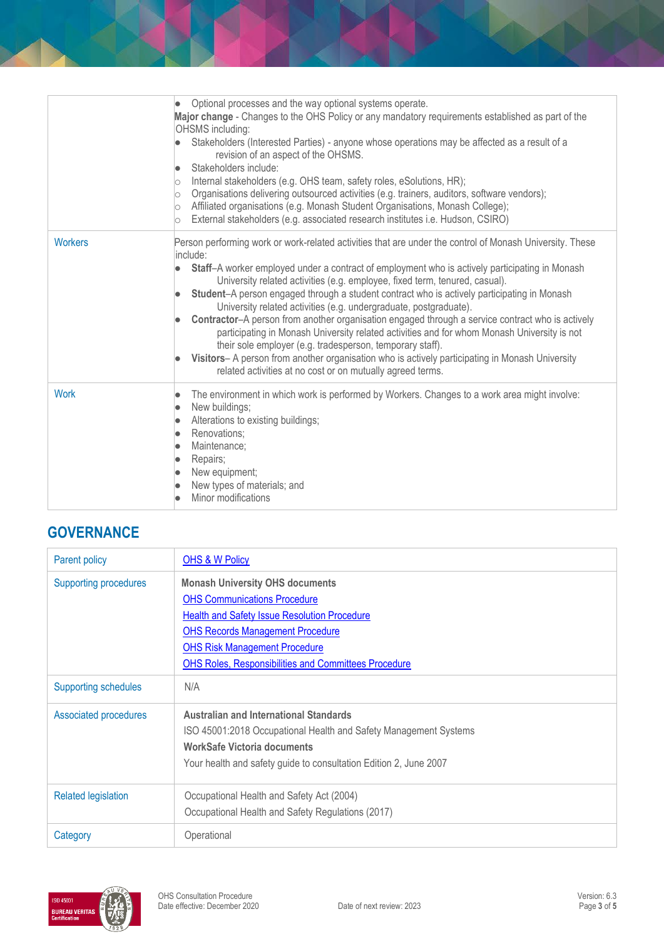|                | Optional processes and the way optional systems operate.<br>$\bullet$<br>Major change - Changes to the OHS Policy or any mandatory requirements established as part of the<br><b>OHSMS</b> including:<br>Stakeholders (Interested Parties) - anyone whose operations may be affected as a result of a<br>revision of an aspect of the OHSMS.<br>Stakeholders include:<br>Internal stakeholders (e.g. OHS team, safety roles, eSolutions, HR);<br>lO.<br>Organisations delivering outsourced activities (e.g. trainers, auditors, software vendors);<br>lo<br>Affiliated organisations (e.g. Monash Student Organisations, Monash College);<br>lo<br>External stakeholders (e.g. associated research institutes i.e. Hudson, CSIRO)<br>lo.                                                                                                                                                                        |
|----------------|------------------------------------------------------------------------------------------------------------------------------------------------------------------------------------------------------------------------------------------------------------------------------------------------------------------------------------------------------------------------------------------------------------------------------------------------------------------------------------------------------------------------------------------------------------------------------------------------------------------------------------------------------------------------------------------------------------------------------------------------------------------------------------------------------------------------------------------------------------------------------------------------------------------|
| <b>Workers</b> | Person performing work or work-related activities that are under the control of Monash University. These<br>include:<br>Staff-A worker employed under a contract of employment who is actively participating in Monash<br>University related activities (e.g. employee, fixed term, tenured, casual).<br>Student-A person engaged through a student contract who is actively participating in Monash<br>University related activities (e.g. undergraduate, postgraduate).<br><b>Contractor-A</b> person from another organisation engaged through a service contract who is actively<br>participating in Monash University related activities and for whom Monash University is not<br>their sole employer (e.g. tradesperson, temporary staff).<br>Visitors-A person from another organisation who is actively participating in Monash University<br>related activities at no cost or on mutually agreed terms. |
| <b>Work</b>    | The environment in which work is performed by Workers. Changes to a work area might involve:<br>New buildings;<br>Alterations to existing buildings;<br>Renovations:<br>$\bullet$<br>Maintenance;<br>Repairs;<br>New equipment;<br>New types of materials; and<br>Minor modifications                                                                                                                                                                                                                                                                                                                                                                                                                                                                                                                                                                                                                            |

# **GOVERNANCE**

| Parent policy                | <b>OHS &amp; W Policy</b>                                         |
|------------------------------|-------------------------------------------------------------------|
| <b>Supporting procedures</b> | <b>Monash University OHS documents</b>                            |
|                              | <b>OHS Communications Procedure</b>                               |
|                              | <b>Health and Safety Issue Resolution Procedure</b>               |
|                              | <b>OHS Records Management Procedure</b>                           |
|                              | <b>OHS Risk Management Procedure</b>                              |
|                              | <b>OHS Roles, Responsibilities and Committees Procedure</b>       |
| <b>Supporting schedules</b>  | N/A                                                               |
| <b>Associated procedures</b> | <b>Australian and International Standards</b>                     |
|                              | ISO 45001:2018 Occupational Health and Safety Management Systems  |
|                              | <b>WorkSafe Victoria documents</b>                                |
|                              | Your health and safety guide to consultation Edition 2, June 2007 |
| <b>Related legislation</b>   | Occupational Health and Safety Act (2004)                         |
|                              | Occupational Health and Safety Regulations (2017)                 |
| Category                     | Operational                                                       |

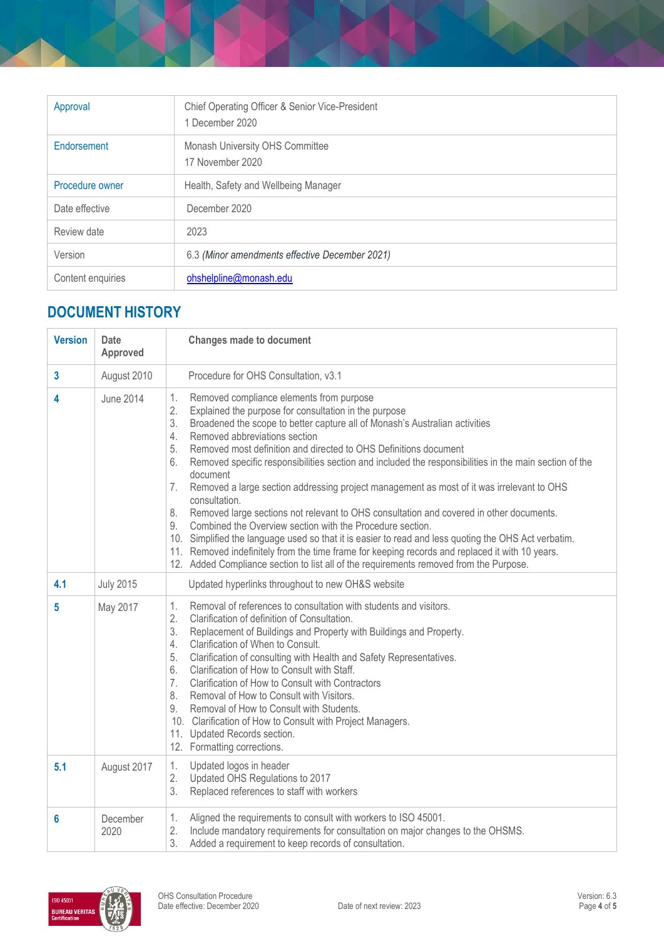| Approval          | Chief Operating Officer & Senior Vice-President<br>1 December 2020 |
|-------------------|--------------------------------------------------------------------|
| Endorsement       | Monash University OHS Committee<br>17 November 2020                |
| Procedure owner   | Health, Safety and Wellbeing Manager                               |
| Date effective    | December 2020                                                      |
| Review date       | 2023                                                               |
| Version           | 6.3 (Minor amendments effective December 2021)                     |
| Content enquiries | ohshelpline@monash.edu                                             |

# **DOCUMENT HISTORY**

| <b>Version</b> | <b>Date</b><br>Approved | <b>Changes made to document</b>                                                                                                                                                                                                                                                                                                                                                                                                                                                                                                                                                                                                                                                                                                                                                                                                                                                                                                                                                                                                              |
|----------------|-------------------------|----------------------------------------------------------------------------------------------------------------------------------------------------------------------------------------------------------------------------------------------------------------------------------------------------------------------------------------------------------------------------------------------------------------------------------------------------------------------------------------------------------------------------------------------------------------------------------------------------------------------------------------------------------------------------------------------------------------------------------------------------------------------------------------------------------------------------------------------------------------------------------------------------------------------------------------------------------------------------------------------------------------------------------------------|
| 3              | August 2010             | Procedure for OHS Consultation, v3.1                                                                                                                                                                                                                                                                                                                                                                                                                                                                                                                                                                                                                                                                                                                                                                                                                                                                                                                                                                                                         |
| 4              | <b>June 2014</b>        | 1.<br>Removed compliance elements from purpose<br>2.<br>Explained the purpose for consultation in the purpose<br>3.<br>Broadened the scope to better capture all of Monash's Australian activities<br>Removed abbreviations section<br>4.<br>Removed most definition and directed to OHS Definitions document<br>5.<br>Removed specific responsibilities section and included the responsibilities in the main section of the<br>6.<br>document<br>Removed a large section addressing project management as most of it was irrelevant to OHS<br>7.<br>consultation.<br>Removed large sections not relevant to OHS consultation and covered in other documents.<br>8.<br>Combined the Overview section with the Procedure section.<br>9.<br>10. Simplified the language used so that it is easier to read and less quoting the OHS Act verbatim.<br>11. Removed indefinitely from the time frame for keeping records and replaced it with 10 years.<br>12. Added Compliance section to list all of the requirements removed from the Purpose. |
| 4.1            | <b>July 2015</b>        | Updated hyperlinks throughout to new OH&S website                                                                                                                                                                                                                                                                                                                                                                                                                                                                                                                                                                                                                                                                                                                                                                                                                                                                                                                                                                                            |
| 5              | May 2017                | Removal of references to consultation with students and visitors.<br>1.<br>2.<br>Clarification of definition of Consultation.<br>3.<br>Replacement of Buildings and Property with Buildings and Property.<br>4.<br>Clarification of When to Consult.<br>5.<br>Clarification of consulting with Health and Safety Representatives.<br>Clarification of How to Consult with Staff.<br>6.<br>7.<br>Clarification of How to Consult with Contractors<br>8.<br>Removal of How to Consult with Visitors.<br>9.<br>Removal of How to Consult with Students.<br>10. Clarification of How to Consult with Project Managers.<br>11. Updated Records section.<br>12. Formatting corrections.                                                                                                                                                                                                                                                                                                                                                            |
| 5.1            | August 2017             | 1.<br>Updated logos in header<br>2.<br>Updated OHS Regulations to 2017<br>3.<br>Replaced references to staff with workers                                                                                                                                                                                                                                                                                                                                                                                                                                                                                                                                                                                                                                                                                                                                                                                                                                                                                                                    |
| 6              | December<br>2020        | 1.<br>Aligned the requirements to consult with workers to ISO 45001.<br>2.<br>Include mandatory requirements for consultation on major changes to the OHSMS.<br>3.<br>Added a requirement to keep records of consultation.                                                                                                                                                                                                                                                                                                                                                                                                                                                                                                                                                                                                                                                                                                                                                                                                                   |